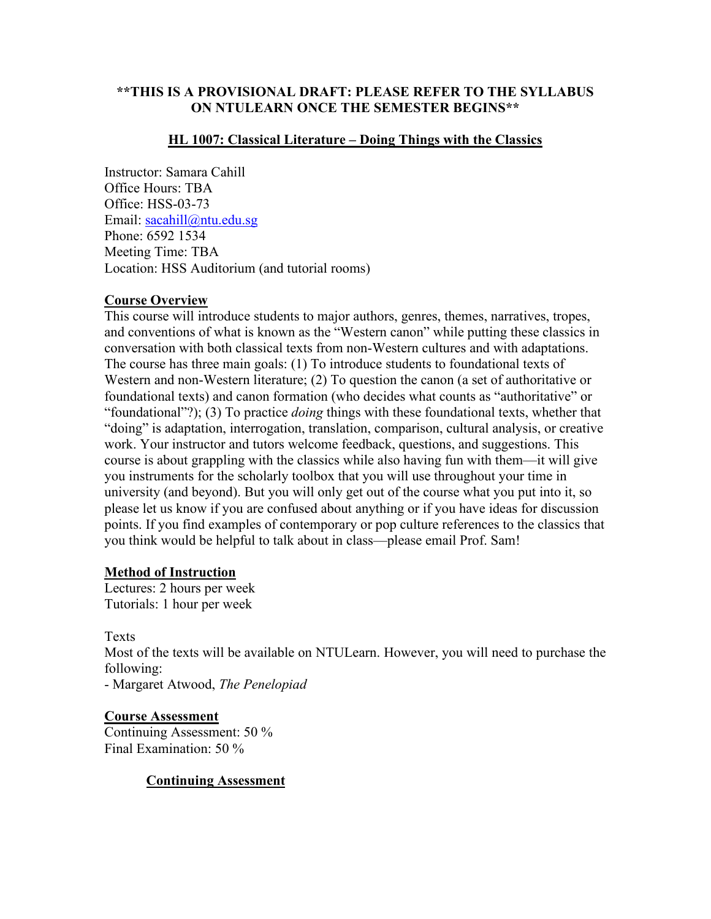## **\*\*THIS IS A PROVISIONAL DRAFT: PLEASE REFER TO THE SYLLABUS ON NTULEARN ONCE THE SEMESTER BEGINS\*\***

#### **HL 1007: Classical Literature – Doing Things with the Classics**

Instructor: Samara Cahill Office Hours: TBA Office: HSS-03-73 Email: [sacahill@ntu.edu.sg](mailto:sacahill@ntu.edu.sg) Phone: 6592 1534 Meeting Time: TBA Location: HSS Auditorium (and tutorial rooms)

# **Course Overview**

This course will introduce students to major authors, genres, themes, narratives, tropes, and conventions of what is known as the "Western canon" while putting these classics in conversation with both classical texts from non-Western cultures and with adaptations. The course has three main goals: (1) To introduce students to foundational texts of Western and non-Western literature; (2) To question the canon (a set of authoritative or foundational texts) and canon formation (who decides what counts as "authoritative" or "foundational"?); (3) To practice *doing* things with these foundational texts, whether that "doing" is adaptation, interrogation, translation, comparison, cultural analysis, or creative work. Your instructor and tutors welcome feedback, questions, and suggestions. This course is about grappling with the classics while also having fun with them—it will give you instruments for the scholarly toolbox that you will use throughout your time in university (and beyond). But you will only get out of the course what you put into it, so please let us know if you are confused about anything or if you have ideas for discussion points. If you find examples of contemporary or pop culture references to the classics that you think would be helpful to talk about in class—please email Prof. Sam!

#### **Method of Instruction**

Lectures: 2 hours per week Tutorials: 1 hour per week

Texts

Most of the texts will be available on NTULearn. However, you will need to purchase the following:

- Margaret Atwood, *The Penelopiad*

**Course Assessment**  Continuing Assessment: 50 % Final Examination: 50 %

#### **Continuing Assessment**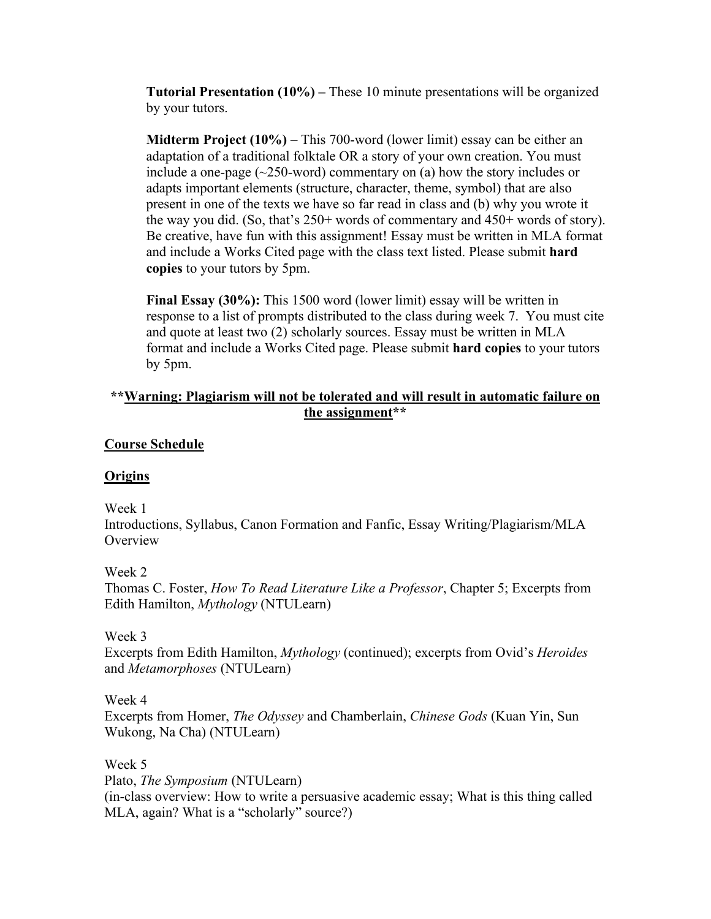**Tutorial Presentation (10%) –** These 10 minute presentations will be organized by your tutors.

**Midterm Project (10%)** – This 700-word (lower limit) essay can be either an adaptation of a traditional folktale OR a story of your own creation. You must include a one-page  $(\sim 250$ -word) commentary on (a) how the story includes or adapts important elements (structure, character, theme, symbol) that are also present in one of the texts we have so far read in class and (b) why you wrote it the way you did. (So, that's 250+ words of commentary and 450+ words of story). Be creative, have fun with this assignment! Essay must be written in MLA format and include a Works Cited page with the class text listed. Please submit **hard copies** to your tutors by 5pm.

**Final Essay (30%):** This 1500 word (lower limit) essay will be written in response to a list of prompts distributed to the class during week 7. You must cite and quote at least two (2) scholarly sources. Essay must be written in MLA format and include a Works Cited page. Please submit **hard copies** to your tutors by 5pm.

# **\*\*Warning: Plagiarism will not be tolerated and will result in automatic failure on the assignment\*\***

#### **Course Schedule**

#### **Origins**

#### Week 1

Introductions, Syllabus, Canon Formation and Fanfic, Essay Writing/Plagiarism/MLA **Overview** 

#### Week 2

Thomas C. Foster, *How To Read Literature Like a Professor*, Chapter 5; Excerpts from Edith Hamilton, *Mythology* (NTULearn)

#### Week 3

Excerpts from Edith Hamilton, *Mythology* (continued); excerpts from Ovid's *Heroides* and *Metamorphoses* (NTULearn)

#### Week 4

Excerpts from Homer, *The Odyssey* and Chamberlain, *Chinese Gods* (Kuan Yin, Sun Wukong, Na Cha) (NTULearn)

#### Week 5

Plato, *The Symposium* (NTULearn) (in-class overview: How to write a persuasive academic essay; What is this thing called MLA, again? What is a "scholarly" source?)